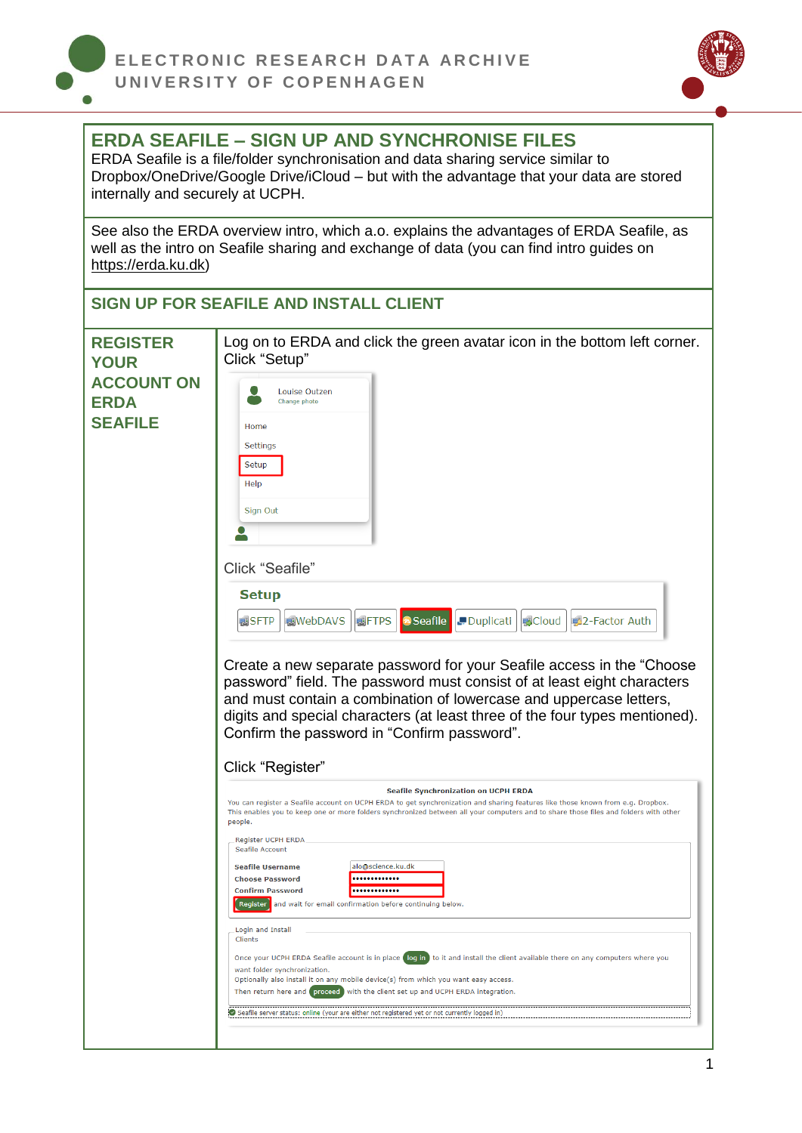



## **ERDA SEAFILE – SIGN UP AND SYNCHRONISE FILES**

ERDA Seafile is a file/folder synchronisation and data sharing service similar to Dropbox/OneDrive/Google Drive/iCloud – but with the advantage that your data are stored internally and securely at UCPH.

See also the ERDA overview intro, which a.o. explains the advantages of ERDA Seafile, as well as the intro on Seafile sharing and exchange of data (you can find intro guides on [https://erda.ku.dk\)](https://erda.ku.dk/)

| <b>REGISTER</b><br><b>YOUR</b>                     | Log on to ERDA and click the green avatar icon in the bottom left corner.<br>Click "Setup"                                                                                                                                                                                                                                                                                                                                                                                                                                                                                 |
|----------------------------------------------------|----------------------------------------------------------------------------------------------------------------------------------------------------------------------------------------------------------------------------------------------------------------------------------------------------------------------------------------------------------------------------------------------------------------------------------------------------------------------------------------------------------------------------------------------------------------------------|
| <b>ACCOUNT ON</b><br><b>ERDA</b><br><b>SEAFILE</b> | Louise Outzen<br>Change photo<br>Home<br>Settings<br>Setup<br>Help<br>Sign Out<br>Click "Seafile"<br><b>Setup</b><br>Seafile<br>Duplicati<br><b>感WebDAVS</b><br>要FTPS<br><b>國Cloud</b><br>图2-Factor Auth<br>感SFTP<br>Create a new separate password for your Seafile access in the "Choose"<br>password" field. The password must consist of at least eight characters<br>and must contain a combination of lowercase and uppercase letters,<br>digits and special characters (at least three of the four types mentioned).<br>Confirm the password in "Confirm password". |
|                                                    | Click "Register"<br><b>Seafile Synchronization on UCPH ERDA</b><br>You can register a Seafile account on UCPH ERDA to get synchronization and sharing features like those known from e.g. Dropbox.<br>This enables you to keep one or more folders synchronized between all your computers and to share those files and folders with other<br>people.                                                                                                                                                                                                                      |
|                                                    | Register UCPH ERDA<br>Seafile Account<br>alo@science.ku.dk<br><b>Seafile Username</b><br><b>Choose Password</b><br><br><b>Confirm Password</b><br>Register and wait for email confirmation before continuing below.                                                                                                                                                                                                                                                                                                                                                        |
|                                                    | Login and Install<br>Clients<br>Once your UCPH ERDA Seafile account is in place (log in) to it and install the client available there on any computers where you<br>want folder synchronization.<br>Optionally also install it on any mobile device(s) from which you want easy access.<br>Then return here and proceed with the client set up and UCPH ERDA integration.<br>Seafile server status: online (your are either not registered yet or not currently logged in)                                                                                                 |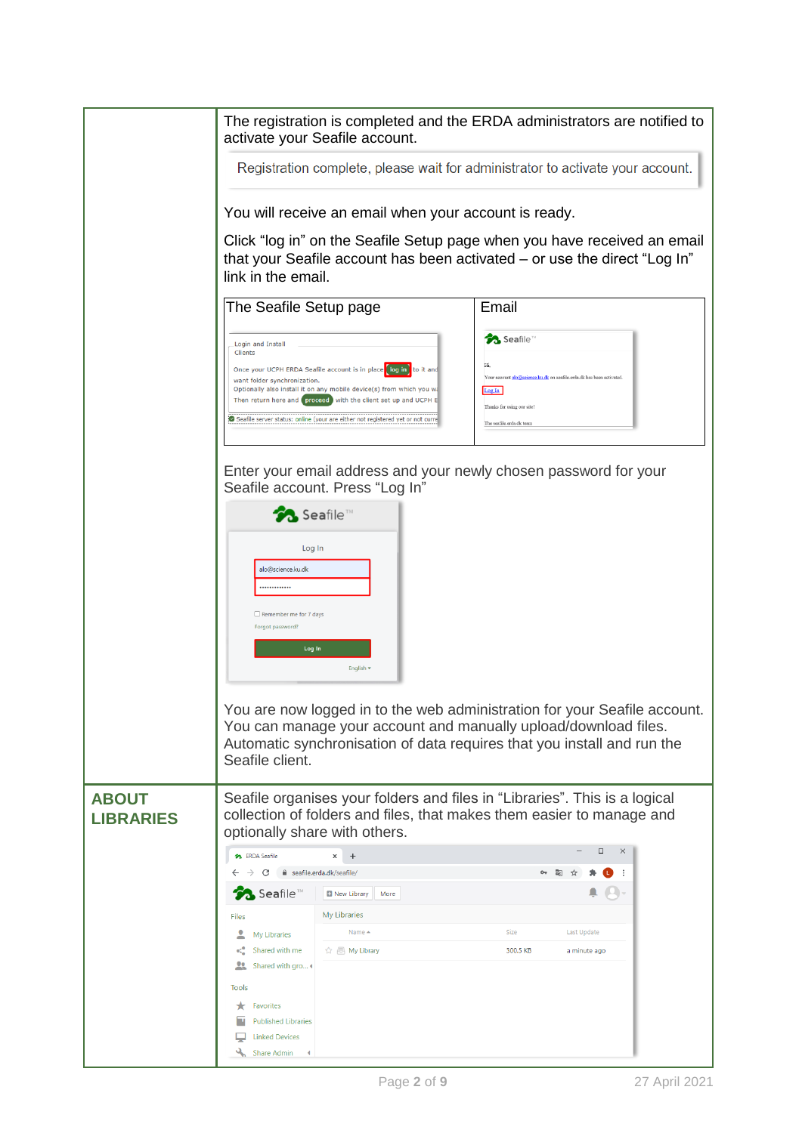|                                  | The registration is completed and the ERDA administrators are notified to                                                                                                                                                                                                                                                                         |                                                                                                                                                                        |  |  |
|----------------------------------|---------------------------------------------------------------------------------------------------------------------------------------------------------------------------------------------------------------------------------------------------------------------------------------------------------------------------------------------------|------------------------------------------------------------------------------------------------------------------------------------------------------------------------|--|--|
|                                  | activate your Seafile account.<br>Registration complete, please wait for administrator to activate your account.<br>You will receive an email when your account is ready.                                                                                                                                                                         |                                                                                                                                                                        |  |  |
|                                  |                                                                                                                                                                                                                                                                                                                                                   |                                                                                                                                                                        |  |  |
|                                  | Click "log in" on the Seafile Setup page when you have received an email<br>that your Seafile account has been activated – or use the direct "Log In"<br>link in the email.                                                                                                                                                                       |                                                                                                                                                                        |  |  |
|                                  | The Seafile Setup page                                                                                                                                                                                                                                                                                                                            | Email                                                                                                                                                                  |  |  |
|                                  | Login and Install<br>Clients<br>Once your UCPH ERDA Seafile account is in place log in<br>want folder synchronization.<br>Optionally also install it on any mobile device(s) from which you wa<br>Then return here and proceed with the client set up and UCPH E<br>Seafile server status: online (your are either not registered yet or not curn | <b>Seafile</b> <sup>™</sup><br>Your account alo@science.ku.dk on seafile.erda.dk has been activated<br>Log In<br>Thanks for using our site<br>The seafile erds dk team |  |  |
|                                  | Enter your email address and your newly chosen password for your<br>Seafile account. Press "Log In"                                                                                                                                                                                                                                               |                                                                                                                                                                        |  |  |
|                                  | Seafile <sup>TM</sup><br>Log In<br>alo@science.ku.dk<br>                                                                                                                                                                                                                                                                                          |                                                                                                                                                                        |  |  |
|                                  | Remember me for 7 days<br>Forgot password?<br>Log In<br>English .                                                                                                                                                                                                                                                                                 |                                                                                                                                                                        |  |  |
|                                  | You can manage your account and manually upload/download files.<br>Automatic synchronisation of data requires that you install and run the<br>Seafile client.                                                                                                                                                                                     | You are now logged in to the web administration for your Seafile account.                                                                                              |  |  |
| <b>ABOUT</b><br><b>LIBRARIES</b> | Seafile organises your folders and files in "Libraries". This is a logical<br>collection of folders and files, that makes them easier to manage and<br>optionally share with others.                                                                                                                                                              |                                                                                                                                                                        |  |  |
|                                  | <b>So</b> ERDA Seafile<br>$\ddot{}$<br>×<br>e seafile.erda.dk/seafile/                                                                                                                                                                                                                                                                            | $\Box$<br>$\times$                                                                                                                                                     |  |  |
|                                  | C<br><b>B</b> Seafile™<br>New Library<br>More                                                                                                                                                                                                                                                                                                     |                                                                                                                                                                        |  |  |
|                                  | My Libraries<br><b>Files</b>                                                                                                                                                                                                                                                                                                                      |                                                                                                                                                                        |  |  |
|                                  | Name $\triangle$<br>My Libraries<br>Shared with me                                                                                                                                                                                                                                                                                                | Size<br>Last Update                                                                                                                                                    |  |  |
|                                  | ☆ 局 My Library<br>22<br>Shared with gro                                                                                                                                                                                                                                                                                                           | 300.5 KB<br>a minute ago                                                                                                                                               |  |  |
|                                  | Tools                                                                                                                                                                                                                                                                                                                                             |                                                                                                                                                                        |  |  |
|                                  | Favorites<br>★<br><b>Published Libraries</b>                                                                                                                                                                                                                                                                                                      |                                                                                                                                                                        |  |  |
|                                  | <b>Linked Devices</b><br><b>Share Admin</b>                                                                                                                                                                                                                                                                                                       |                                                                                                                                                                        |  |  |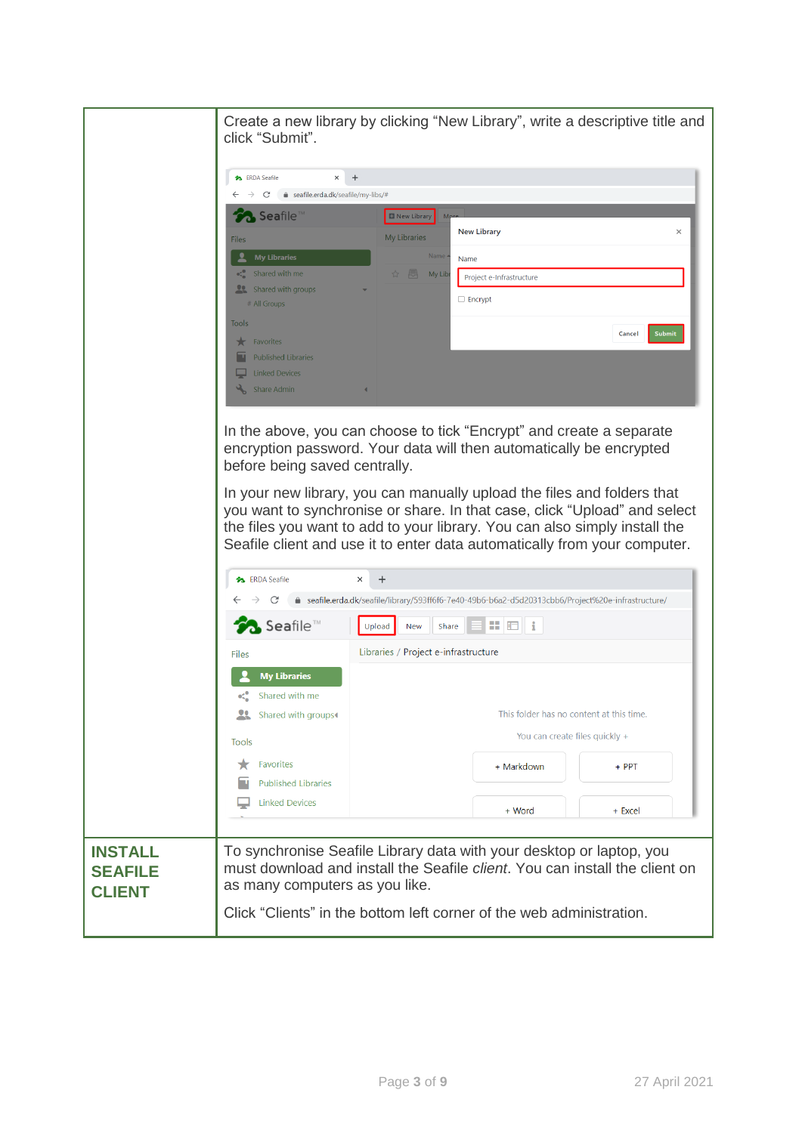|                | Create a new library by clicking "New Library", write a descriptive title and<br>click "Submit". |                                                                                                                                                                            |                                                                                                                                             |                  |
|----------------|--------------------------------------------------------------------------------------------------|----------------------------------------------------------------------------------------------------------------------------------------------------------------------------|---------------------------------------------------------------------------------------------------------------------------------------------|------------------|
|                |                                                                                                  |                                                                                                                                                                            |                                                                                                                                             |                  |
|                | <b>SA</b> ERDA Seafile<br>$\ddot{}$<br>$\times$                                                  |                                                                                                                                                                            |                                                                                                                                             |                  |
|                | C A seafile.erda.dk/seafile/my-libs/#<br>$\rightarrow$                                           |                                                                                                                                                                            |                                                                                                                                             |                  |
|                | Seafile <sup>1</sup>                                                                             | New Library                                                                                                                                                                |                                                                                                                                             |                  |
|                | Files                                                                                            | My Libraries                                                                                                                                                               | <b>New Library</b>                                                                                                                          | $\times$         |
|                | <b>My Libraries</b>                                                                              | Name                                                                                                                                                                       | Name                                                                                                                                        |                  |
|                | Shared with me                                                                                   |                                                                                                                                                                            | Project e-Infrastructure                                                                                                                    |                  |
|                | Shared with groups<br># All Groups                                                               |                                                                                                                                                                            | $\Box$ Encrypt                                                                                                                              |                  |
|                | Tools                                                                                            |                                                                                                                                                                            |                                                                                                                                             |                  |
|                | Favorites                                                                                        |                                                                                                                                                                            |                                                                                                                                             | Submit<br>Cancel |
|                | <b>Published Libraries</b>                                                                       |                                                                                                                                                                            |                                                                                                                                             |                  |
|                | <b>Linked Devices</b>                                                                            |                                                                                                                                                                            |                                                                                                                                             |                  |
|                | Share Admin                                                                                      |                                                                                                                                                                            |                                                                                                                                             |                  |
|                |                                                                                                  |                                                                                                                                                                            |                                                                                                                                             |                  |
|                |                                                                                                  |                                                                                                                                                                            | In the above, you can choose to tick "Encrypt" and create a separate<br>encryption password. Your data will then automatically be encrypted |                  |
|                | before being saved centrally.                                                                    |                                                                                                                                                                            |                                                                                                                                             |                  |
|                |                                                                                                  |                                                                                                                                                                            | In your new library, you can manually upload the files and folders that                                                                     |                  |
|                |                                                                                                  |                                                                                                                                                                            | you want to synchronise or share. In that case, click "Upload" and select                                                                   |                  |
|                |                                                                                                  |                                                                                                                                                                            | the files you want to add to your library. You can also simply install the                                                                  |                  |
|                |                                                                                                  |                                                                                                                                                                            | Seafile client and use it to enter data automatically from your computer.                                                                   |                  |
|                |                                                                                                  |                                                                                                                                                                            |                                                                                                                                             |                  |
|                | <b>3</b> ERDA Seafile                                                                            | ×                                                                                                                                                                          |                                                                                                                                             |                  |
|                | C                                                                                                | ● seafile.erda.dk/seafile/library/593ff6f6-7e40-49b6-b6a2-d5d20313cbb6/Project%20e-infrastructure/<br>出田<br>Upload<br>New<br>Share<br>Libraries / Project e-infrastructure |                                                                                                                                             |                  |
|                | Seafile <sup>™</sup>                                                                             |                                                                                                                                                                            |                                                                                                                                             |                  |
|                | Files                                                                                            |                                                                                                                                                                            |                                                                                                                                             |                  |
|                | <b>My Libraries</b>                                                                              |                                                                                                                                                                            |                                                                                                                                             |                  |
|                | Shared with me                                                                                   |                                                                                                                                                                            |                                                                                                                                             |                  |
|                | 29.<br>Shared with groups                                                                        |                                                                                                                                                                            | This folder has no content at this time.                                                                                                    |                  |
|                | Tools                                                                                            | You can create files quickly +                                                                                                                                             |                                                                                                                                             |                  |
|                | <b>Favorites</b>                                                                                 |                                                                                                                                                                            |                                                                                                                                             | $+$ PPT          |
|                | <b>Published Libraries</b>                                                                       |                                                                                                                                                                            | + Markdown                                                                                                                                  |                  |
|                | <b>Linked Devices</b>                                                                            |                                                                                                                                                                            |                                                                                                                                             |                  |
|                |                                                                                                  |                                                                                                                                                                            | + Word                                                                                                                                      | + Excel          |
|                |                                                                                                  |                                                                                                                                                                            |                                                                                                                                             |                  |
| <b>INSTALL</b> |                                                                                                  |                                                                                                                                                                            | To synchronise Seafile Library data with your desktop or laptop, you                                                                        |                  |
| <b>SEAFILE</b> |                                                                                                  | must download and install the Seafile <i>client</i> . You can install the client on<br>as many computers as you like.                                                      |                                                                                                                                             |                  |
| <b>CLIENT</b>  |                                                                                                  |                                                                                                                                                                            |                                                                                                                                             |                  |
|                |                                                                                                  |                                                                                                                                                                            | Click "Clients" in the bottom left corner of the web administration.                                                                        |                  |
|                |                                                                                                  |                                                                                                                                                                            |                                                                                                                                             |                  |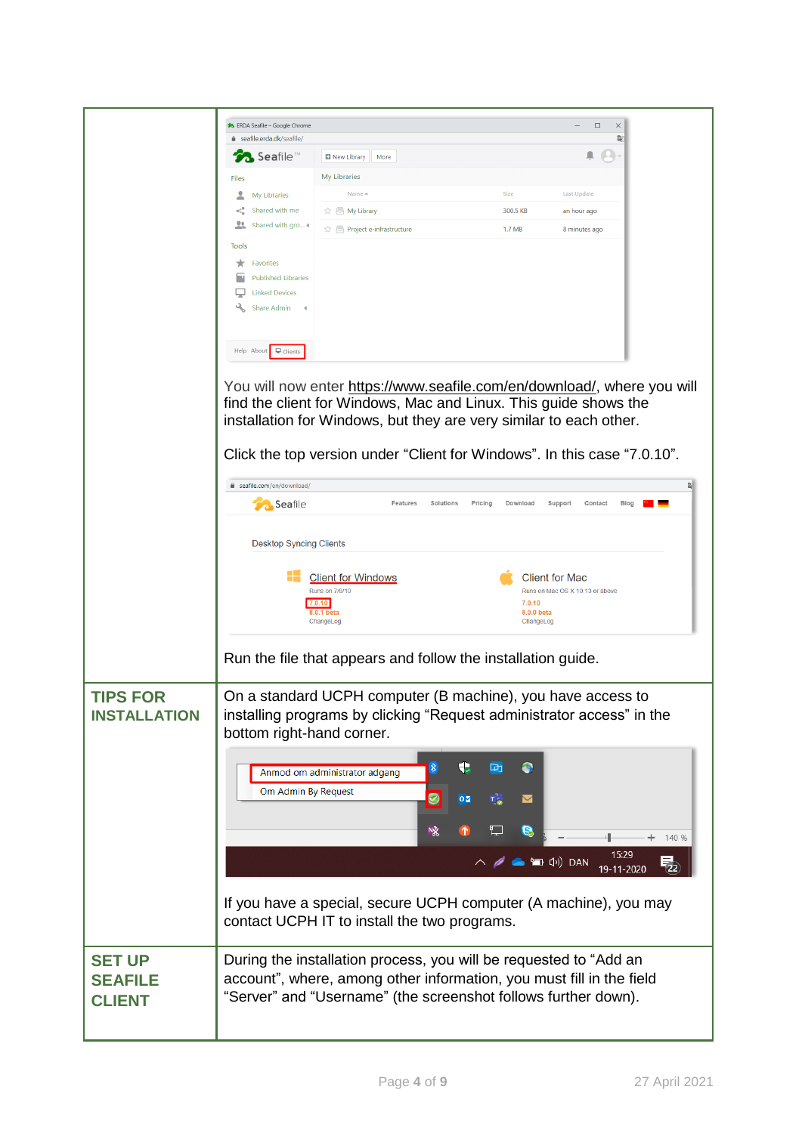|                                        | 23 ERDA Seafile - Google Chrome       |                                                                                                                                                                                                                                                                                               |                          | $\Box$<br>$\times$                |       |
|----------------------------------------|---------------------------------------|-----------------------------------------------------------------------------------------------------------------------------------------------------------------------------------------------------------------------------------------------------------------------------------------------|--------------------------|-----------------------------------|-------|
|                                        | e seafile.erda.dk/seafile/            |                                                                                                                                                                                                                                                                                               |                          | 酢                                 |       |
|                                        | $\lambda$ Seafile <sup>™</sup>        | New Library<br>More                                                                                                                                                                                                                                                                           |                          |                                   |       |
|                                        | <b>Files</b>                          | <b>My Libraries</b>                                                                                                                                                                                                                                                                           |                          |                                   |       |
|                                        | <b>My Libraries</b><br>Shared with me | Name -                                                                                                                                                                                                                                                                                        | Size<br>300.5 KB         | <b>Last Update</b><br>an hour ago |       |
|                                        | Shared with gro 4                     | ☆ E Project e-infrastructure                                                                                                                                                                                                                                                                  | 1.7 MB                   | 8 minutes ago                     |       |
|                                        | <b>Tools</b>                          |                                                                                                                                                                                                                                                                                               |                          |                                   |       |
|                                        | <b>Favorites</b><br>★                 |                                                                                                                                                                                                                                                                                               |                          |                                   |       |
|                                        | <b>Published Libraries</b>            |                                                                                                                                                                                                                                                                                               |                          |                                   |       |
|                                        | <b>Linked Devices</b>                 |                                                                                                                                                                                                                                                                                               |                          |                                   |       |
|                                        | Share Admin<br>$\blacktriangleleft$   |                                                                                                                                                                                                                                                                                               |                          |                                   |       |
|                                        |                                       |                                                                                                                                                                                                                                                                                               |                          |                                   |       |
|                                        | Help About P Clients                  |                                                                                                                                                                                                                                                                                               |                          |                                   |       |
|                                        |                                       | You will now enter https://www.seafile.com/en/download/, where you will<br>find the client for Windows, Mac and Linux. This guide shows the<br>installation for Windows, but they are very similar to each other.<br>Click the top version under "Client for Windows". In this case "7.0.10". |                          |                                   |       |
|                                        | eafile.com/en/download/               |                                                                                                                                                                                                                                                                                               |                          |                                   | 欧     |
|                                        | <b>Co</b> Seafile                     | Features<br>Solutions<br>Pricing                                                                                                                                                                                                                                                              | Download                 | Support<br>Contact<br>Blog        |       |
|                                        |                                       |                                                                                                                                                                                                                                                                                               |                          |                                   |       |
|                                        | <b>Desktop Syncing Clients</b>        |                                                                                                                                                                                                                                                                                               |                          |                                   |       |
|                                        |                                       | <b>Client for Windows</b>                                                                                                                                                                                                                                                                     | <b>Client for Mac</b>    |                                   |       |
|                                        |                                       | Runs on 7/8/10                                                                                                                                                                                                                                                                                |                          | Runs on Mac OS X 10.13 or above   |       |
|                                        |                                       | 7.0.10<br>8.0.1 beta                                                                                                                                                                                                                                                                          | 7.0.10<br>8.0.0 beta     |                                   |       |
|                                        |                                       | ChangeLog                                                                                                                                                                                                                                                                                     | ChangeLog                |                                   |       |
|                                        |                                       | Run the file that appears and follow the installation guide.                                                                                                                                                                                                                                  |                          |                                   |       |
| <b>TIPS FOR</b><br><b>INSTALLATION</b> |                                       | On a standard UCPH computer (B machine), you have access to<br>installing programs by clicking "Request administrator access" in the                                                                                                                                                          |                          |                                   |       |
|                                        | bottom right-hand corner.             |                                                                                                                                                                                                                                                                                               |                          |                                   |       |
|                                        |                                       | €                                                                                                                                                                                                                                                                                             | 回<br>●                   |                                   |       |
|                                        |                                       | 8<br>Anmod om administrator adgang                                                                                                                                                                                                                                                            |                          |                                   |       |
|                                        | Om Admin By Request                   | ◙<br>$0\overline{a}$                                                                                                                                                                                                                                                                          | $\overline{\phantom{0}}$ |                                   |       |
|                                        |                                       |                                                                                                                                                                                                                                                                                               |                          |                                   |       |
|                                        |                                       | NX                                                                                                                                                                                                                                                                                            | e                        |                                   | 140 % |
|                                        |                                       |                                                                                                                                                                                                                                                                                               | ● 個 (v) DAN              | 15:29<br>19-11-2020               | 52    |
|                                        |                                       |                                                                                                                                                                                                                                                                                               |                          |                                   |       |
|                                        |                                       | If you have a special, secure UCPH computer (A machine), you may<br>contact UCPH IT to install the two programs.                                                                                                                                                                              |                          |                                   |       |
| <b>SET UP</b>                          |                                       | During the installation process, you will be requested to "Add an                                                                                                                                                                                                                             |                          |                                   |       |
| <b>SEAFILE</b>                         |                                       | account", where, among other information, you must fill in the field                                                                                                                                                                                                                          |                          |                                   |       |
| <b>CLIENT</b>                          |                                       | "Server" and "Username" (the screenshot follows further down).                                                                                                                                                                                                                                |                          |                                   |       |
|                                        |                                       |                                                                                                                                                                                                                                                                                               |                          |                                   |       |
|                                        |                                       |                                                                                                                                                                                                                                                                                               |                          |                                   |       |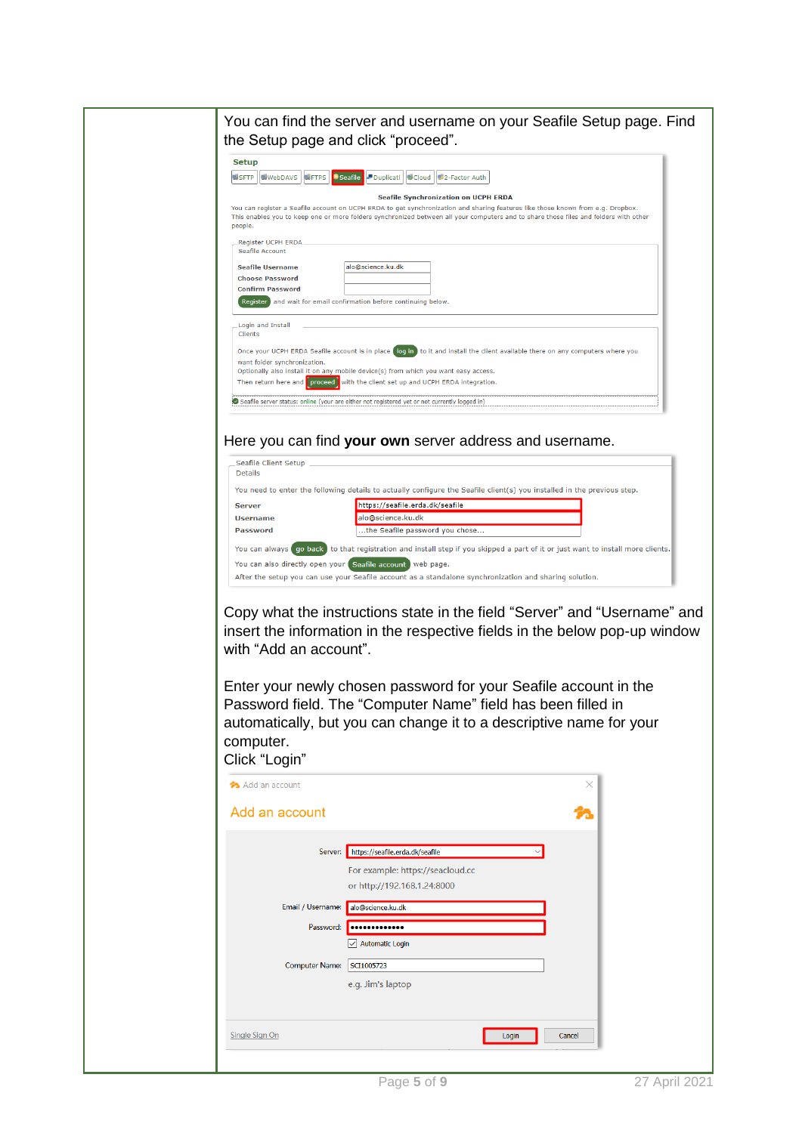## You can find the server and username on your Seafile Setup page. Find the Setup page and click "proceed".

| <b>WebDAVS</b><br><b>图FTPS</b><br><b>BISFTP</b> | Seafile Duplicati   Cloud   2-Factor Auth                                                                                                                                                                                                                               |
|-------------------------------------------------|-------------------------------------------------------------------------------------------------------------------------------------------------------------------------------------------------------------------------------------------------------------------------|
|                                                 | <b>Seafile Synchronization on UCPH ERDA</b>                                                                                                                                                                                                                             |
|                                                 |                                                                                                                                                                                                                                                                         |
|                                                 | You can register a Seafile account on UCPH ERDA to get synchronization and sharing features like those known from e.g. Dropbox.<br>This enables you to keep one or more folders synchronized between all your computers and to share those files and folders with other |
| people.                                         |                                                                                                                                                                                                                                                                         |
|                                                 |                                                                                                                                                                                                                                                                         |
| Register UCPH ERDA                              |                                                                                                                                                                                                                                                                         |
| Seafile Account                                 |                                                                                                                                                                                                                                                                         |
|                                                 | alo@science.ku.dk                                                                                                                                                                                                                                                       |
| <b>Seafile Username</b>                         |                                                                                                                                                                                                                                                                         |
| <b>Choose Password</b>                          |                                                                                                                                                                                                                                                                         |
| <b>Confirm Password</b>                         |                                                                                                                                                                                                                                                                         |
|                                                 | Register and wait for email confirmation before continuing below.                                                                                                                                                                                                       |
|                                                 |                                                                                                                                                                                                                                                                         |
|                                                 |                                                                                                                                                                                                                                                                         |
| Login and Install<br>Clients                    |                                                                                                                                                                                                                                                                         |
|                                                 |                                                                                                                                                                                                                                                                         |
|                                                 | Once your UCPH ERDA Seafile account is in place log in to it and install the client available there on any computers where you                                                                                                                                          |
| want folder synchronization.                    |                                                                                                                                                                                                                                                                         |
|                                                 | Optionally also install it on any mobile device(s) from which you want easy access.                                                                                                                                                                                     |
|                                                 | Then return here and proceed with the client set up and UCPH ERDA integration.                                                                                                                                                                                          |
|                                                 |                                                                                                                                                                                                                                                                         |
|                                                 |                                                                                                                                                                                                                                                                         |

## Here you can find **your own** server address and username.

| Seafile Client Setup<br><b>Details</b> |                                                                                                                                                                                               |
|----------------------------------------|-----------------------------------------------------------------------------------------------------------------------------------------------------------------------------------------------|
|                                        | You need to enter the following details to actually configure the Seafile client(s) you installed in the previous step.                                                                       |
| <b>Server</b>                          | https://seafile.erda.dk/seafile                                                                                                                                                               |
| <b>Username</b>                        | alo@science.ku.dk                                                                                                                                                                             |
| <b>Password</b>                        | the Seafile password you chose                                                                                                                                                                |
|                                        | You can always (go back) to that registration and install step if you skipped a part of it or just want to install more clients.<br>You can also directly open your Seafile account web page. |
|                                        | After the setup you can use your Seafile account as a standalone synchronization and sharing solution.                                                                                        |

Copy what the instructions state in the field "Server" and "Username" and insert the information in the respective fields in the below pop-up window with "Add an account".

Enter your newly chosen password for your Seafile account in the Password field. The "Computer Name" field has been filled in automatically, but you can change it to a descriptive name for your computer. Click "Login"

| Add an account    |                                                                     | $\times$ |
|-------------------|---------------------------------------------------------------------|----------|
| Add an account    |                                                                     |          |
| Server:           | https://seafile.erda.dk/seafile<br>For example: https://seacloud.cc |          |
| Email / Username: | or http://192.168.1.24:8000<br>alo@science.ku.dk                    |          |
| Password:         | <br><b>Automatic Login</b><br>$\sim$                                |          |
| Computer Name:    | SCI1005723<br>e.g. Jim's laptop                                     |          |
| Single Sign On    | Login                                                               | Cancel   |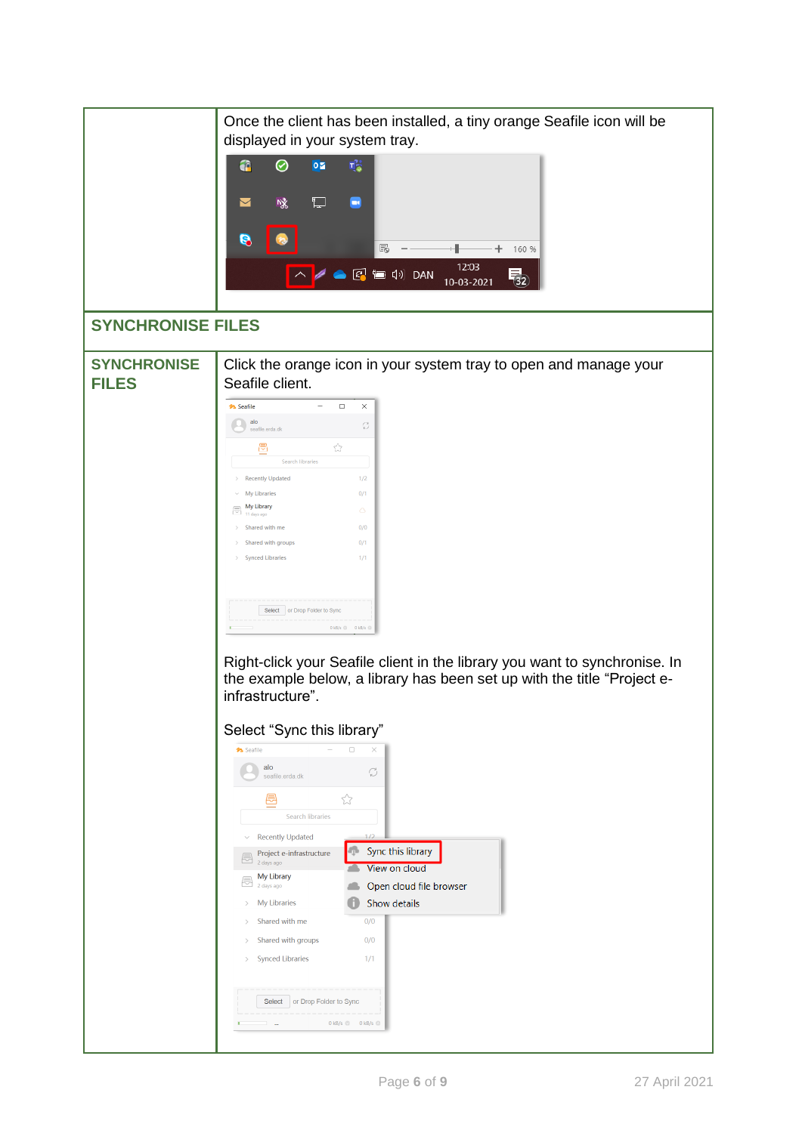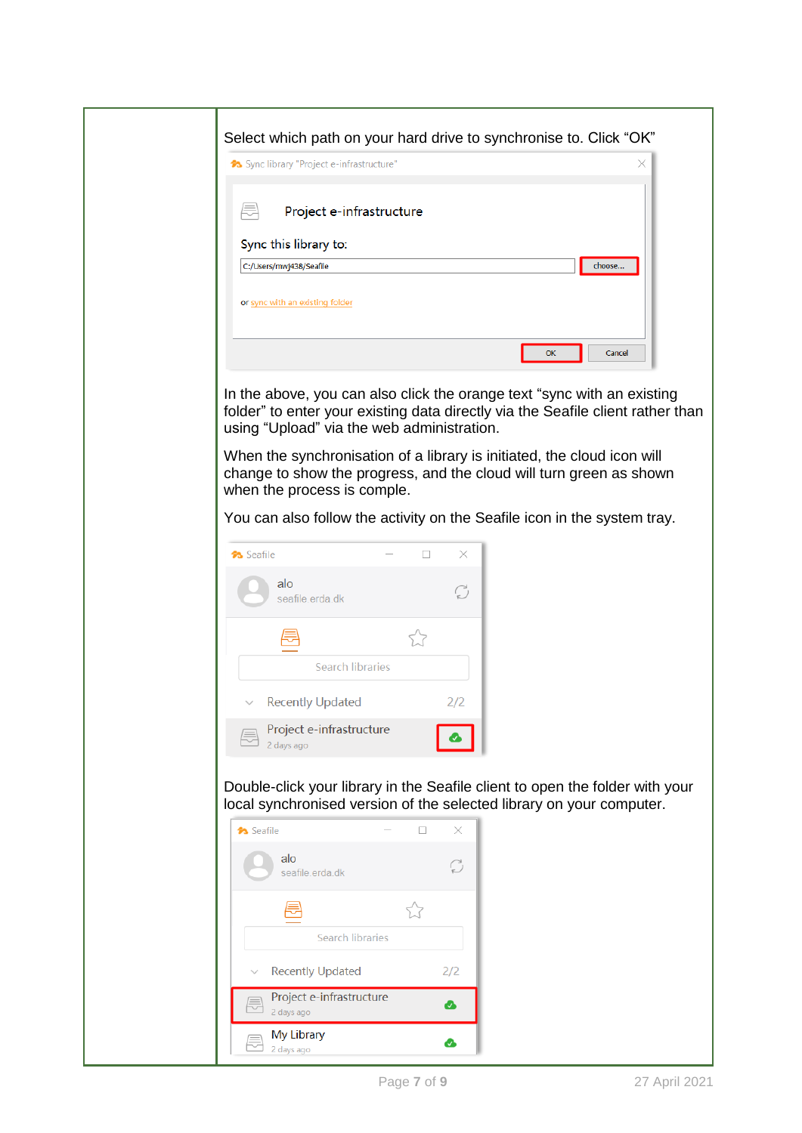| Select which path on your hard drive to synchronise to. Click "OK"<br>◆ Sync library "Project e-infrastructure"<br>x                                                                                     |
|----------------------------------------------------------------------------------------------------------------------------------------------------------------------------------------------------------|
|                                                                                                                                                                                                          |
| Project e-infrastructure                                                                                                                                                                                 |
| Sync this library to:<br>choose<br>C:/Users/mwj438/Seafile                                                                                                                                               |
| or sync with an existing folder                                                                                                                                                                          |
| OK<br>Cancel                                                                                                                                                                                             |
| In the above, you can also click the orange text "sync with an existing<br>folder" to enter your existing data directly via the Seafile client rather than<br>using "Upload" via the web administration. |
| When the synchronisation of a library is initiated, the cloud icon will<br>change to show the progress, and the cloud will turn green as shown<br>when the process is comple.                            |
| You can also follow the activity on the Seafile icon in the system tray.                                                                                                                                 |
| ×<br>□<br><b>3</b> Seafile                                                                                                                                                                               |
| alo<br>C<br>seafile.erda.dk                                                                                                                                                                              |
| 5.7                                                                                                                                                                                                      |
| <b>Search libraries</b>                                                                                                                                                                                  |
| <b>Recently Updated</b><br>2/2                                                                                                                                                                           |
| Project e-infrastructure<br>2 days ago                                                                                                                                                                   |
| Double-click your library in the Seafile client to open the folder with your<br>local synchronised version of the selected library on your computer.                                                     |
| <b>A</b> Seafile<br>$\Box$<br>×                                                                                                                                                                          |
| alo<br>C<br>seafile.erda.dk                                                                                                                                                                              |
| Ŵ                                                                                                                                                                                                        |
| <b>Search libraries</b>                                                                                                                                                                                  |
| 2/2<br><b>Recently Updated</b><br>Project e-infrastructure                                                                                                                                               |
| ☎<br>2 days ago                                                                                                                                                                                          |
| My Library<br>☎<br>2 days ago                                                                                                                                                                            |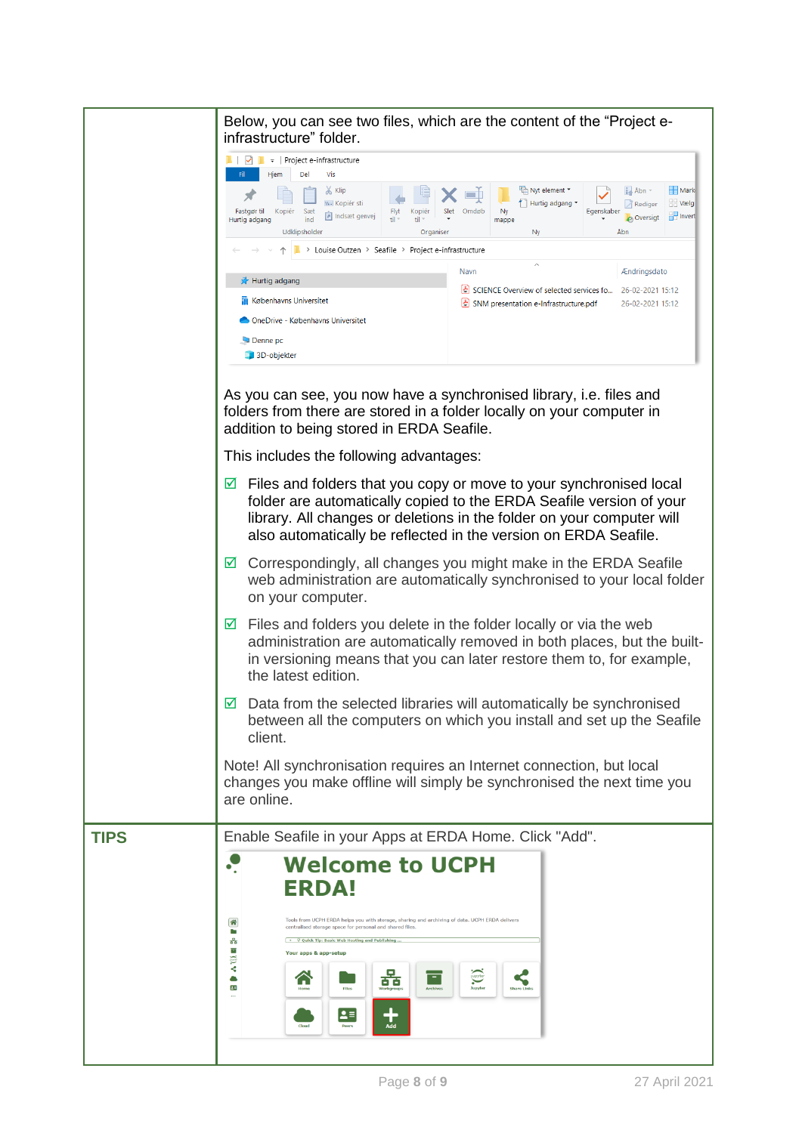